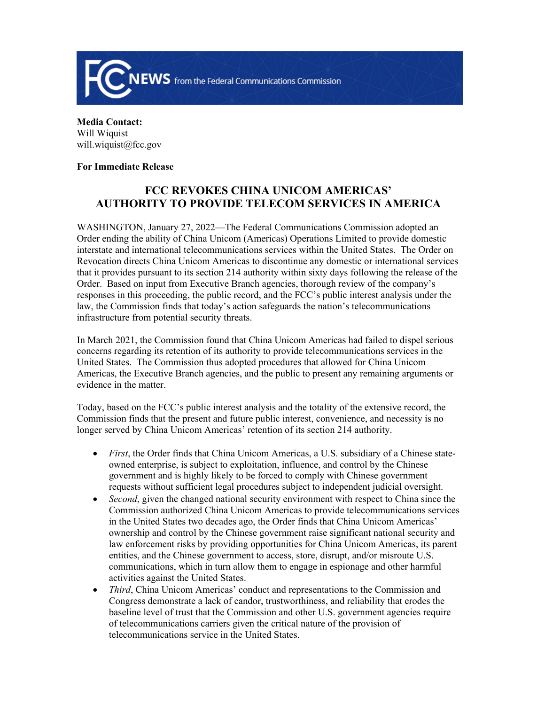

**Media Contact:**  Will Wiquist will.wiquist@fcc.gov

## **For Immediate Release**

## **FCC REVOKES CHINA UNICOM AMERICAS' AUTHORITY TO PROVIDE TELECOM SERVICES IN AMERICA**

WASHINGTON, January 27, 2022—The Federal Communications Commission adopted an Order ending the ability of China Unicom (Americas) Operations Limited to provide domestic interstate and international telecommunications services within the United States. The Order on Revocation directs China Unicom Americas to discontinue any domestic or international services that it provides pursuant to its section 214 authority within sixty days following the release of the Order. Based on input from Executive Branch agencies, thorough review of the company's responses in this proceeding, the public record, and the FCC's public interest analysis under the law, the Commission finds that today's action safeguards the nation's telecommunications infrastructure from potential security threats.

In March 2021, the Commission found that China Unicom Americas had failed to dispel serious concerns regarding its retention of its authority to provide telecommunications services in the United States. The Commission thus adopted procedures that allowed for China Unicom Americas, the Executive Branch agencies, and the public to present any remaining arguments or evidence in the matter.

Today, based on the FCC's public interest analysis and the totality of the extensive record, the Commission finds that the present and future public interest, convenience, and necessity is no longer served by China Unicom Americas' retention of its section 214 authority.

- *First*, the Order finds that China Unicom Americas, a U.S. subsidiary of a Chinese stateowned enterprise, is subject to exploitation, influence, and control by the Chinese government and is highly likely to be forced to comply with Chinese government requests without sufficient legal procedures subject to independent judicial oversight.
- *Second*, given the changed national security environment with respect to China since the Commission authorized China Unicom Americas to provide telecommunications services in the United States two decades ago, the Order finds that China Unicom Americas' ownership and control by the Chinese government raise significant national security and law enforcement risks by providing opportunities for China Unicom Americas, its parent entities, and the Chinese government to access, store, disrupt, and/or misroute U.S. communications, which in turn allow them to engage in espionage and other harmful activities against the United States.
- *Third*, China Unicom Americas' conduct and representations to the Commission and Congress demonstrate a lack of candor, trustworthiness, and reliability that erodes the baseline level of trust that the Commission and other U.S. government agencies require of telecommunications carriers given the critical nature of the provision of telecommunications service in the United States.